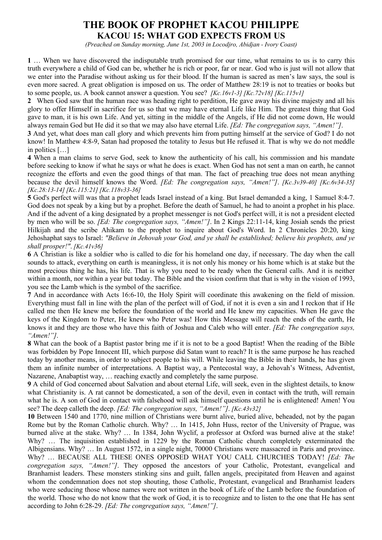## **THE BOOK OF PROPHET KACOU PHILIPPE KACOU 15: WHAT GOD EXPECTS FROM US**

*(Preached on Sunday morning, June 1st, 2003 in Locodjro, Abidjan - Ivory Coast)*

**1** … When we have discovered the indisputable truth promised for our time, what remains to us is to carry this truth everywhere a child of God can be, whether he is rich or poor, far or near. God who is just will not allow that we enter into the Paradise without asking us for their blood. If the human is sacred as men's law says, the soul is even more sacred. A great obligation is imposed on us. The order of Matthew 28:19 is not to treaties or books but to some people, us. A book cannot answer a question. You see? *[Kc.16v1-3] [Kc.72v18] [Kc.115v1]*

**2** When God saw that the human race was heading right to perdition, He gave away his divine majesty and all his glory to offer Himself in sacrifice for us so that we may have eternal Life like Him. The greatest thing that God gave to man, it is his own Life. And yet, sitting in the middle of the Angels, if He did not come down, He would always remain God but He did it so that we may also have eternal Life. *[Ed: The congregation says, "Amen!"]*.

**3** And yet, what does man call glory and which prevents him from putting himself at the service of God? I do not know! In Matthew 4:8-9, Satan had proposed the totality to Jesus but He refused it. That is why we do not meddle in politics […]

**4** When a man claims to serve God, seek to know the authenticity of his call, his commission and his mandate before seeking to know if what he says or what he does is exact. When God has not sent a man on earth, he cannot recognize the efforts and even the good things of that man. The fact of preaching true does not mean anything because the devil himself knows the Word. *[Ed: The congregation says, "Amen!"]*. *[Kc.3v39-40] [Kc.6v34-35] [Kc.28:13-14] [Kc.115:21] [Kc.118v33-36]*

**5** God's perfect will was that a prophet leads Israel instead of a king. But Israel demanded a king, 1 Samuel 8:4-7. God does not speak by a king but by a prophet. Before the death of Samuel, he had to anoint a prophet in his place. And if the advent of a king designated by a prophet messenger is not God's perfect will, it is not a president elected by men who will be so. *[Ed: The congregation says, "Amen!"]*. In 2 Kings 22:11-14, king Josiah sends the priest Hilkijah and the scribe Ahikam to the prophet to inquire about God's Word. In 2 Chronicles 20:20, king Jehoshaphat says to Israel: *"Believe in Jehovah your God, and ye shall be established; believe his prophets, and ye shall prosper!"*. *[Kc.41v36]*

**6** A Christian is like a soldier who is called to die for his homeland one day, if necessary. The day when the call sounds to attack, everything on earth is meaningless, it is not only his money or his home which is at stake but the most precious thing he has, his life. That is why you need to be ready when the General calls. And it is neither within a month, nor within a year but today. The Bible and the vision confirm that that is why in the vision of 1993, you see the Lamb which is the symbol of the sacrifice.

**7** And in accordance with Acts 16:6-10, the Holy Spirit will coordinate this awakening on the field of mission. Everything must fall in line with the plan of the perfect will of God, if not it is even a sin and I reckon that if He called me then He knew me before the foundation of the world and He knew my capacities. When He gave the keys of the Kingdom to Peter, He knew who Peter was! How this Message will reach the ends of the earth, He knows it and they are those who have this faith of Joshua and Caleb who will enter. *[Ed: The congregation says, "Amen!"]*.

**8** What can the book of a Baptist pastor bring me if it is not to be a good Baptist! When the reading of the Bible was forbidden by Pope Innocent III, which purpose did Satan want to reach? It is the same purpose he has reached today by another means, in order to subject people to his will. While leaving the Bible in their hands, he has given them an infinite number of interpretations. A Baptist way, a Pentecostal way, a Jehovah's Witness, Adventist, Nazarene, Anabaptist way, ... reaching exactly and completely the same purpose.

**9** A child of God concerned about Salvation and about eternal Life, will seek, even in the slightest details, to know what Christianity is. A rat cannot be domesticated, a son of the devil, even in contact with the truth, will remain what he is. A son of God in contact with falsehood will ask himself questions until he is enlightened! Amen! You see? The deep calleth the deep. *[Ed: The congregation says, "Amen!"]*. *[Kc.43v32]*

**10** Between 1540 and 1770, nine million of Christians were burnt alive, buried alive, beheaded, not by the pagan Rome but by the Roman Catholic church. Why? … In 1415, John Huss, rector of the University of Prague, was burned alive at the stake. Why? … In 1384, John Wyclif, a professor at Oxford was burned alive at the stake! Why? … The inquisition established in 1229 by the Roman Catholic church completely exterminated the Albigensians. Why? … In August 1572, in a single night, 70000 Christians were massacred in Paris and province. Why? … BECAUSE ALL THESE ONES OPPOSED WHAT YOU CALL CHURCHES TODAY! *[Ed: The congregation says, "Amen!"]*. They opposed the ancestors of your Catholic, Protestant, evangelical and Branhamist leaders. These monsters stinking sins and guilt, fallen angels, precipitated from Heaven and against whom the condemnation does not stop shouting, those Catholic, Protestant, evangelical and Branhamist leaders who were seducing those whose names were not written in the book of Life of the Lamb before the foundation of the world. Those who do not know that the work of God, it is to recognize and to listen to the one that He has sent according to John 6:28-29. *[Ed: The congregation says, "Amen!"]*.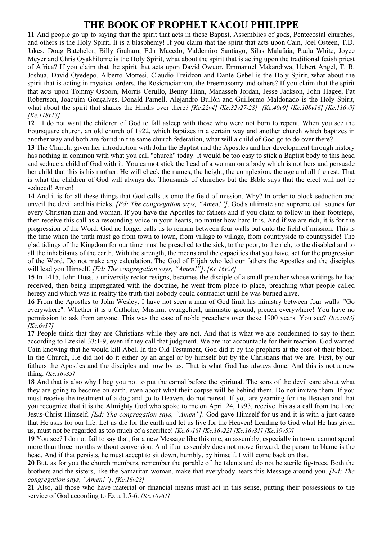## **THE BOOK OF PROPHET KACOU PHILIPPE**

**11** And people go up to saying that the spirit that acts in these Baptist, Assemblies of gods, Pentecostal churches, and others is the Holy Spirit. It is a blasphemy! If you claim that the spirit that acts upon Cain, Joel Osteen, T.D. Jakes, Doug Batchelor, Billy Graham, Edir Macedo, Valdemiro Santiago, Silas Malafaia, Paula White, Joyce Meyer and Chris Oyakhilome is the Holy Spirit, what about the spirit that is acting upon the traditional fetish priest of Africa? If you claim that the spirit that acts upon David Owuor, Emmanuel Makandiwa, Uebert Angel, T. B. Joshua, David Oyedepo, Alberto Mottesi, Claudio Freidzon and Dante Gebel is the Holy Spirit, what about the spirit that is acting in mystical orders, the Rosicrucianism, the Freemasonry and others? If you claim that the spirit that acts upon Tommy Osborn, Morris Cerullo, Benny Hinn, Manasseh Jordan, Jesse Jackson, John Hagee, Pat Robertson, Joaquim Gonçalves, Donald Parnell, Alejandro Bullón and Guillermo Maldonado is the Holy Spirit, what about the spirit that shakes the Hindis over there? *[Kc.22v4] [Kc.32v27-28] [Kc.40v9] [Kc.108v16] [Kc.116v9] [Kc.118v13]*

**12** I do not want the children of God to fall asleep with those who were not born to repent. When you see the Foursquare church, an old church of 1922, which baptizes in a certain way and another church which baptizes in another way and both are found in the same church federation, what will a child of God go to do over there?

**13** The Church, given her introduction with John the Baptist and the Apostles and her development through history has nothing in common with what you call "church" today. It would be too easy to stick a Baptist body to this head and seduce a child of God with it. You cannot stick the head of a woman on a body which is not hers and persuade her child that this is his mother. He will check the names, the height, the complexion, the age and all the rest. That is what the children of God will always do. Thousands of churches but the Bible says that the elect will not be seduced! Amen!

**14** And it is for all these things that God calls us onto the field of mission. Why? In order to block seduction and unveil the devil and his tricks. *[Ed: The congregation says, "Amen!"]*. God's ultimate and supreme call sounds for every Christian man and woman. If you have the Apostles for fathers and if you claim to follow in their footsteps, then receive this call as a resounding voice in your hearts, no matter how hard It is. And if we are rich, it is for the progression of the Word. God no longer calls us to remain between four walls but onto the field of mission. This is the time when the truth must go from town to town, from village to village, from countryside to countryside! The glad tidings of the Kingdom for our time must be preached to the sick, to the poor, to the rich, to the disabled and to all the inhabitants of the earth. With the strength, the means and the capacities that you have, act for the progression of the Word. Do not make any calculation. The God of Elijah who led our fathers the Apostles and the disciples will lead you Himself. *[Ed: The congregation says, "Amen!"]*. *[Kc.16v28]* 

**15** In 1415, John Huss, a university rector resigns, becomes the disciple of a small preacher whose writings he had received, then being impregnated with the doctrine, he went from place to place, preaching what people called heresy and which was in reality the truth that nobody could contradict until he was burned alive.

**16** From the Apostles to John Wesley, I have not seen a man of God limit his ministry between four walls. "Go everywhere". Whether it is a Catholic, Muslim, evangelical, animistic ground, preach everywhere! You have no permission to ask from anyone. This was the case of noble preachers over these 1900 years. You see? *[Kc.5v43] [Kc.6v17]*

**17** People think that they are Christians while they are not. And that is what we are condemned to say to them according to Ezekiel 33:1-9, even if they call that judgment. We are not accountable for their reaction. God warned Cain knowing that he would kill Abel. In the Old Testament, God did it by the prophets at the cost of their blood. In the Church, He did not do it either by an angel or by himself but by the Christians that we are. First, by our fathers the Apostles and the disciples and now by us. That is what God has always done. And this is not a new thing. *[Kc.16v35]*

**18** And that is also why I beg you not to put the carnal before the spiritual. The sons of the devil care about what they are going to become on earth, even about what their corpse will be behind them. Do not imitate them. If you must receive the treatment of a dog and go to Heaven, do not retreat. If you are yearning for the Heaven and that you recognize that it is the Almighty God who spoke to me on April 24, 1993, receive this as a call from the Lord Jesus-Christ Himself. *[Ed: The congregation says, "Amen"]*. God gave Himself for us and it is with a just cause that He asks for our life. Let us die for the earth and let us live for the Heaven! Lending to God what He has given us, must not be regarded as too much of a sacrifice! *[Kc.6v18] [Kc.16v22] [Kc.16v31] [Kc.19v59]*

**19** You see? I do not fail to say that, for a new Message like this one, an assembly, especially in town, cannot spend more than three months without conversion. And if an assembly does not move forward, the person to blame is the head. And if that persists, he must accept to sit down, humbly, by himself. I will come back on that.

**20** But, as for you the church members, remember the parable of the talents and do not be sterile fig-trees. Both the brothers and the sisters, like the Samaritan woman, make that everybody hears this Message around you. *[Ed: The congregation says, "Amen!"]*. *[Kc.16v28]* 

**21** Also, all those who have material or financial means must act in this sense, putting their possessions to the service of God according to Ezra 1:5-6. *[Kc.10v61]*